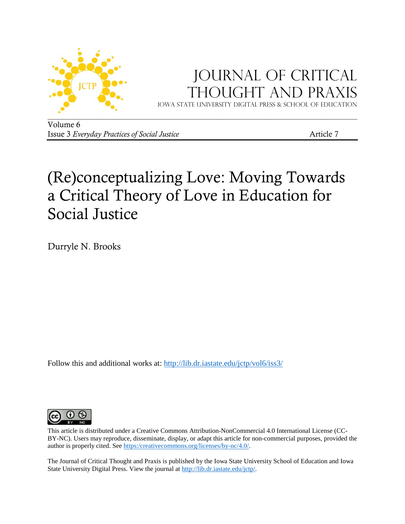

## JOURNAL OF CRITICAL Thought and Praxis

Iowa state university digital press & School of education

Volume 6 Issue 3 *Everyday Practices of Social Justice* Article 7

# (Re)conceptualizing Love: Moving Towards a Critical Theory of Love in Education for Social Justice

Durryle N. Brooks

Follow this and additional works at:<http://lib.dr.iastate.edu/jctp/vol6/iss3/>



This article is distributed under a Creative Commons Attribution-NonCommercial 4.0 International License (CC-BY-NC). Users may reproduce, disseminate, display, or adapt this article for non-commercial purposes, provided the author is properly cited. See [https:/creativecommons.org/licenses/by-nc/4.0/.](https://creativecommons.org/licenses/by-nc/4.0/) 

The Journal of Critical Thought and Praxis is published by the Iowa State University School of Education and Iowa State University Digital Press. View the journal at [http://lib.dr.iastate.edu/jctp/.](http://lib.dr.iastate.edu/jctp/)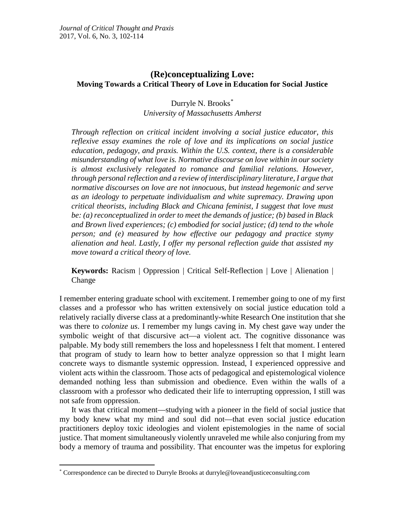## **(Re)conceptualizing Love: Moving Towards a Critical Theory of Love in Education for Social Justice**

## Durryle N. Brooks[\\*](#page-1-0) *University of Massachusetts Amherst*

*Through reflection on critical incident involving a social justice educator, this reflexive essay examines the role of love and its implications on social justice education, pedagogy, and praxis. Within the U.S. context, there is a considerable misunderstanding of what love is. Normative discourse on love within in our society is almost exclusively relegated to romance and familial relations. However, through personal reflection and a review of interdisciplinary literature, I argue that normative discourses on love are not innocuous, but instead hegemonic and serve as an ideology to perpetuate individualism and white supremacy. Drawing upon critical theorists, including Black and Chicana feminist, I suggest that love must be: (a) reconceptualized in order to meet the demands of justice; (b) based in Black and Brown lived experiences; (c) embodied for social justice; (d) tend to the whole person; and (e) measured by how effective our pedagogy and practice stymy alienation and heal. Lastly, I offer my personal reflection guide that assisted my move toward a critical theory of love.*

**Keywords:** Racism | Oppression | Critical Self-Reflection | Love | Alienation | Change

I remember entering graduate school with excitement. I remember going to one of my first classes and a professor who has written extensively on social justice education told a relatively racially diverse class at a predominantly-white Research One institution that she was there to *colonize us*. I remember my lungs caving in. My chest gave way under the symbolic weight of that discursive act—a violent act. The cognitive dissonance was palpable. My body still remembers the loss and hopelessness I felt that moment. I entered that program of study to learn how to better analyze oppression so that I might learn concrete ways to dismantle systemic oppression. Instead, I experienced oppressive and violent acts within the classroom. Those acts of pedagogical and epistemological violence demanded nothing less than submission and obedience. Even within the walls of a classroom with a professor who dedicated their life to interrupting oppression, I still was not safe from oppression.

It was that critical moment—studying with a pioneer in the field of social justice that my body knew what my mind and soul did not—that even social justice education practitioners deploy toxic ideologies and violent epistemologies in the name of social justice. That moment simultaneously violently unraveled me while also conjuring from my body a memory of trauma and possibility. That encounter was the impetus for exploring

<span id="page-1-0"></span> <sup>\*</sup> Correspondence can be directed to Durryle Brooks at durryle@loveandjusticeconsulting.com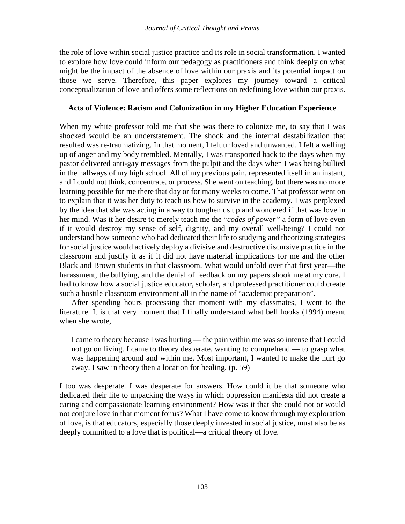the role of love within social justice practice and its role in social transformation. I wanted to explore how love could inform our pedagogy as practitioners and think deeply on what might be the impact of the absence of love within our praxis and its potential impact on those we serve. Therefore, this paper explores my journey toward a critical conceptualization of love and offers some reflections on redefining love within our praxis.

## **Acts of Violence: Racism and Colonization in my Higher Education Experience**

When my white professor told me that she was there to colonize me, to say that I was shocked would be an understatement. The shock and the internal destabilization that resulted was re-traumatizing. In that moment, I felt unloved and unwanted. I felt a welling up of anger and my body trembled. Mentally, I was transported back to the days when my pastor delivered anti-gay messages from the pulpit and the days when I was being bullied in the hallways of my high school. All of my previous pain, represented itself in an instant, and I could not think, concentrate, or process. She went on teaching, but there was no more learning possible for me there that day or for many weeks to come. That professor went on to explain that it was her duty to teach us how to survive in the academy. I was perplexed by the idea that she was acting in a way to toughen us up and wondered if that was love in her mind. Was it her desire to merely teach me the "*codes of power"* a form of love even if it would destroy my sense of self, dignity, and my overall well-being? I could not understand how someone who had dedicated their life to studying and theorizing strategies for social justice would actively deploy a divisive and destructive discursive practice in the classroom and justify it as if it did not have material implications for me and the other Black and Brown students in that classroom. What would unfold over that first year—the harassment, the bullying, and the denial of feedback on my papers shook me at my core. I had to know how a social justice educator, scholar, and professed practitioner could create such a hostile classroom environment all in the name of "academic preparation".

After spending hours processing that moment with my classmates, I went to the literature. It is that very moment that I finally understand what bell hooks (1994) meant when she wrote,

I came to theory because I was hurting — the pain within me was so intense that I could not go on living. I came to theory desperate, wanting to comprehend — to grasp what was happening around and within me. Most important, I wanted to make the hurt go away. I saw in theory then a location for healing. (p. 59)

I too was desperate. I was desperate for answers. How could it be that someone who dedicated their life to unpacking the ways in which oppression manifests did not create a caring and compassionate learning environment? How was it that she could not or would not conjure love in that moment for us? What I have come to know through my exploration of love, is that educators, especially those deeply invested in social justice, must also be as deeply committed to a love that is political—a critical theory of love.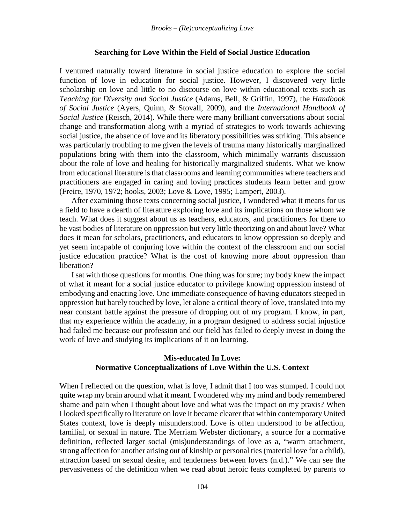#### **Searching for Love Within the Field of Social Justice Education**

I ventured naturally toward literature in social justice education to explore the social function of love in education for social justice. However, I discovered very little scholarship on love and little to no discourse on love within educational texts such as *Teaching for Diversity and Social Justice* (Adams, Bell, & Griffin, 1997), the *Handbook of Social Justice* (Ayers, Quinn, & Stovall, 2009), and the *International Handbook of Social Justice* (Reisch, 2014). While there were many brilliant conversations about social change and transformation along with a myriad of strategies to work towards achieving social justice, the absence of love and its liberatory possibilities was striking. This absence was particularly troubling to me given the levels of trauma many historically marginalized populations bring with them into the classroom, which minimally warrants discussion about the role of love and healing for historically marginalized students. What we know from educational literature is that classrooms and learning communities where teachers and practitioners are engaged in caring and loving practices students learn better and grow (Freire, 1970, 1972; hooks, 2003; Love & Love, 1995; Lampert, 2003).

After examining those texts concerning social justice, I wondered what it means for us a field to have a dearth of literature exploring love and its implications on those whom we teach. What does it suggest about us as teachers, educators, and practitioners for there to be vast bodies of literature on oppression but very little theorizing on and about love? What does it mean for scholars, practitioners, and educators to know oppression so deeply and yet seem incapable of conjuring love within the context of the classroom and our social justice education practice? What is the cost of knowing more about oppression than liberation?

I sat with those questions for months. One thing was for sure; my body knew the impact of what it meant for a social justice educator to privilege knowing oppression instead of embodying and enacting love. One immediate consequence of having educators steeped in oppression but barely touched by love, let alone a critical theory of love, translated into my near constant battle against the pressure of dropping out of my program. I know, in part, that my experience within the academy, in a program designed to address social injustice had failed me because our profession and our field has failed to deeply invest in doing the work of love and studying its implications of it on learning.

### **Mis-educated In Love: Normative Conceptualizations of Love Within the U.S. Context**

When I reflected on the question, what is love, I admit that I too was stumped. I could not quite wrap my brain around what it meant. I wondered why my mind and body remembered shame and pain when I thought about love and what was the impact on my praxis? When I looked specifically to literature on love it became clearer that within contemporary United States context, love is deeply misunderstood. Love is often understood to be affection, familial, or sexual in nature. The Merriam Webster dictionary, a source for a normative definition, reflected larger social (mis)understandings of love as a, "warm attachment, strong affection for another arising out of kinship or personal ties (material love for a child), attraction based on sexual desire, and tenderness between lovers (n.d.)." We can see the pervasiveness of the definition when we read about heroic feats completed by parents to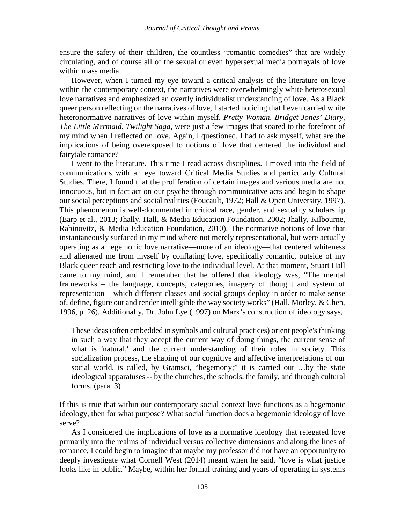ensure the safety of their children, the countless "romantic comedies" that are widely circulating, and of course all of the sexual or even hypersexual media portrayals of love within mass media.

However, when I turned my eye toward a critical analysis of the literature on love within the contemporary context, the narratives were overwhelmingly white heterosexual love narratives and emphasized an overtly individualist understanding of love. As a Black queer person reflecting on the narratives of love, I started noticing that I even carried white heteronormative narratives of love within myself. *Pretty Woman*, *Bridget Jones' Diary*, *The Little Mermaid*, *Twilight Saga*, were just a few images that soared to the forefront of my mind when I reflected on love. Again, I questioned. I had to ask myself, what are the implications of being overexposed to notions of love that centered the individual and fairytale romance?

I went to the literature. This time I read across disciplines. I moved into the field of communications with an eye toward Critical Media Studies and particularly Cultural Studies. There, I found that the proliferation of certain images and various media are not innocuous, but in fact act on our psyche through communicative acts and begin to shape our social perceptions and social realities (Foucault, 1972; Hall & Open University, 1997). This phenomenon is well-documented in critical race, gender, and sexuality scholarship (Earp et al., 2013; Jhally, Hall, & Media Education Foundation, 2002; Jhally, Kilbourne, Rabinovitz, & Media Education Foundation, 2010). The normative notions of love that instantaneously surfaced in my mind where not merely representational, but were actually operating as a hegemonic love narrative—more of an ideology—that centered whiteness and alienated me from myself by conflating love, specifically romantic, outside of my Black queer reach and restricting love to the individual level. At that moment, Stuart Hall came to my mind, and I remember that he offered that ideology was, "The mental frameworks – the language, concepts, categories, imagery of thought and system of representation – which different classes and social groups deploy in order to make sense of, define, figure out and render intelligible the way society works" (Hall, Morley, & Chen, 1996, p. 26). Additionally, Dr. John Lye (1997) on Marx's construction of ideology says,

These ideas (often embedded in symbols and cultural practices) orient people's thinking in such a way that they accept the current way of doing things, the current sense of what is 'natural,' and the current understanding of their roles in society. This socialization process, the shaping of our cognitive and affective interpretations of our social world, is called, by Gramsci, "hegemony;" it is carried out …by the state ideological apparatuses -- by the churches, the schools, the family, and through cultural forms. (para. 3)

If this is true that within our contemporary social context love functions as a hegemonic ideology, then for what purpose? What social function does a hegemonic ideology of love serve?

As I considered the implications of love as a normative ideology that relegated love primarily into the realms of individual versus collective dimensions and along the lines of romance, I could begin to imagine that maybe my professor did not have an opportunity to deeply investigate what Cornell West (2014) meant when he said, "love is what justice looks like in public." Maybe, within her formal training and years of operating in systems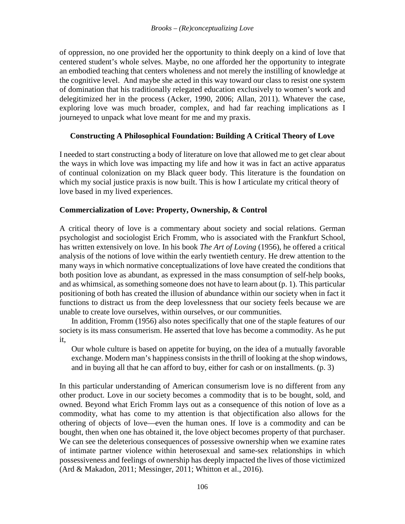of oppression, no one provided her the opportunity to think deeply on a kind of love that centered student's whole selves. Maybe, no one afforded her the opportunity to integrate an embodied teaching that centers wholeness and not merely the instilling of knowledge at the cognitive level. And maybe she acted in this way toward our class to resist one system of domination that his traditionally relegated education exclusively to women's work and delegitimized her in the process (Acker, 1990, 2006; Allan, 2011). Whatever the case, exploring love was much broader, complex, and had far reaching implications as I journeyed to unpack what love meant for me and my praxis.

## **Constructing A Philosophical Foundation: Building A Critical Theory of Love**

I needed to start constructing a body of literature on love that allowed me to get clear about the ways in which love was impacting my life and how it was in fact an active apparatus of continual colonization on my Black queer body. This literature is the foundation on which my social justice praxis is now built. This is how I articulate my critical theory of love based in my lived experiences.

## **Commercialization of Love: Property, Ownership, & Control**

A critical theory of love is a commentary about society and social relations. German psychologist and sociologist Erich Fromm, who is associated with the Frankfurt School, has written extensively on love. In his book *The Art of Loving* (1956), he offered a critical analysis of the notions of love within the early twentieth century. He drew attention to the many ways in which normative conceptualizations of love have created the conditions that both position love as abundant, as expressed in the mass consumption of self-help books, and as whimsical, as something someone does not have to learn about (p. 1). This particular positioning of both has created the illusion of abundance within our society when in fact it functions to distract us from the deep lovelessness that our society feels because we are unable to create love ourselves, within ourselves, or our communities.

In addition, Fromm (1956) also notes specifically that one of the staple features of our society is its mass consumerism. He asserted that love has become a commodity. As he put it,

Our whole culture is based on appetite for buying, on the idea of a mutually favorable exchange. Modern man's happiness consists in the thrill of looking at the shop windows, and in buying all that he can afford to buy, either for cash or on installments. (p. 3)

In this particular understanding of American consumerism love is no different from any other product. Love in our society becomes a commodity that is to be bought, sold, and owned. Beyond what Erich Fromm lays out as a consequence of this notion of love as a commodity, what has come to my attention is that objectification also allows for the othering of objects of love—even the human ones. If love is a commodity and can be bought, then when one has obtained it, the love object becomes property of that purchaser. We can see the deleterious consequences of possessive ownership when we examine rates of intimate partner violence within heterosexual and same-sex relationships in which possessiveness and feelings of ownership has deeply impacted the lives of those victimized (Ard & Makadon, 2011; Messinger, 2011; Whitton et al., 2016).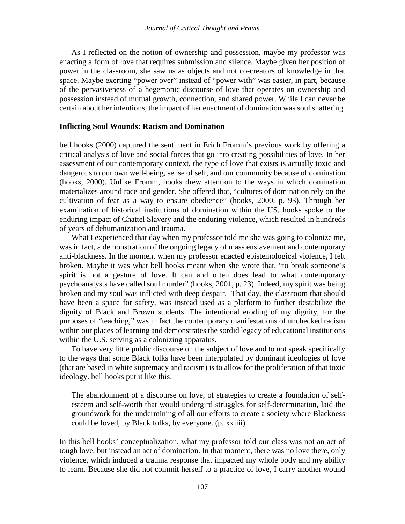As I reflected on the notion of ownership and possession, maybe my professor was enacting a form of love that requires submission and silence. Maybe given her position of power in the classroom, she saw us as objects and not co-creators of knowledge in that space. Maybe exerting "power over" instead of "power with" was easier, in part, because of the pervasiveness of a hegemonic discourse of love that operates on ownership and possession instead of mutual growth, connection, and shared power. While I can never be certain about her intentions, the impact of her enactment of domination was soul shattering.

#### **Inflicting Soul Wounds: Racism and Domination**

bell hooks (2000) captured the sentiment in Erich Fromm's previous work by offering a critical analysis of love and social forces that go into creating possibilities of love. In her assessment of our contemporary context, the type of love that exists is actually toxic and dangerous to our own well-being, sense of self, and our community because of domination (hooks, 2000). Unlike Fromm, hooks drew attention to the ways in which domination materializes around race and gender. She offered that, "cultures of domination rely on the cultivation of fear as a way to ensure obedience" (hooks, 2000, p. 93). Through her examination of historical institutions of domination within the US, hooks spoke to the enduring impact of Chattel Slavery and the enduring violence, which resulted in hundreds of years of dehumanization and trauma.

What I experienced that day when my professor told me she was going to colonize me, was in fact, a demonstration of the ongoing legacy of mass enslavement and contemporary anti-blackness. In the moment when my professor enacted epistemological violence, I felt broken. Maybe it was what bell hooks meant when she wrote that, "to break someone's spirit is not a gesture of love. It can and often does lead to what contemporary psychoanalysts have called soul murder" (hooks, 2001, p. 23). Indeed, my spirit was being broken and my soul was inflicted with deep despair. That day, the classroom that should have been a space for safety, was instead used as a platform to further destabilize the dignity of Black and Brown students. The intentional eroding of my dignity, for the purposes of "teaching," was in fact the contemporary manifestations of unchecked racism within our places of learning and demonstrates the sordid legacy of educational institutions within the U.S. serving as a colonizing apparatus.

To have very little public discourse on the subject of love and to not speak specifically to the ways that some Black folks have been interpolated by dominant ideologies of love (that are based in white supremacy and racism) is to allow for the proliferation of that toxic ideology. bell hooks put it like this:

The abandonment of a discourse on love, of strategies to create a foundation of selfesteem and self-worth that would undergird struggles for self-determination, laid the groundwork for the undermining of all our efforts to create a society where Blackness could be loved, by Black folks, by everyone. (p. xxiiii)

In this bell hooks' conceptualization, what my professor told our class was not an act of tough love, but instead an act of domination. In that moment, there was no love there, only violence, which induced a trauma response that impacted my whole body and my ability to learn. Because she did not commit herself to a practice of love, I carry another wound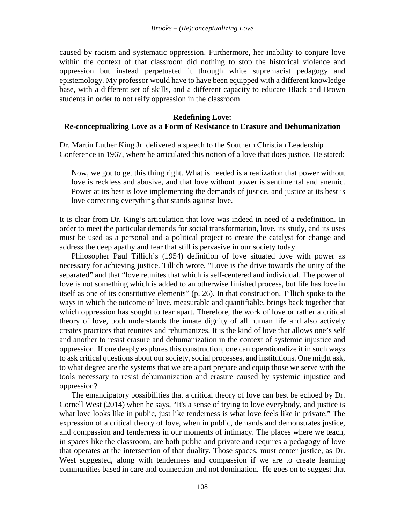caused by racism and systematic oppression. Furthermore, her inability to conjure love within the context of that classroom did nothing to stop the historical violence and oppression but instead perpetuated it through white supremacist pedagogy and epistemology. My professor would have to have been equipped with a different knowledge base, with a different set of skills, and a different capacity to educate Black and Brown students in order to not reify oppression in the classroom.

#### **Redefining Love:**

### **Re-conceptualizing Love as a Form of Resistance to Erasure and Dehumanization**

Dr. Martin Luther King Jr. delivered a speech to the Southern Christian Leadership Conference in 1967, where he articulated this notion of a love that does justice. He stated:

Now, we got to get this thing right. What is needed is a realization that power without love is reckless and abusive, and that love without power is sentimental and anemic. Power at its best is love implementing the demands of justice, and justice at its best is love correcting everything that stands against love.

It is clear from Dr. King's articulation that love was indeed in need of a redefinition. In order to meet the particular demands for social transformation, love, its study, and its uses must be used as a personal and a political project to create the catalyst for change and address the deep apathy and fear that still is pervasive in our society today.

Philosopher Paul Tillich's (1954) definition of love situated love with power as necessary for achieving justice. Tillich wrote, "Love is the drive towards the unity of the separated" and that "love reunites that which is self-centered and individual. The power of love is not something which is added to an otherwise finished process, but life has love in itself as one of its constitutive elements" (p. 26). In that construction, Tillich spoke to the ways in which the outcome of love, measurable and quantifiable, brings back together that which oppression has sought to tear apart. Therefore, the work of love or rather a critical theory of love, both understands the innate dignity of all human life and also actively creates practices that reunites and rehumanizes. It is the kind of love that allows one's self and another to resist erasure and dehumanization in the context of systemic injustice and oppression. If one deeply explores this construction, one can operationalize it in such ways to ask critical questions about our society, social processes, and institutions. One might ask, to what degree are the systems that we are a part prepare and equip those we serve with the tools necessary to resist dehumanization and erasure caused by systemic injustice and oppression?

The emancipatory possibilities that a critical theory of love can best be echoed by Dr. Cornell West (2014) when he says, "It's a sense of trying to love everybody, and justice is what love looks like in public, just like tenderness is what love feels like in private." The expression of a critical theory of love, when in public, demands and demonstrates justice, and compassion and tenderness in our moments of intimacy. The places where we teach, in spaces like the classroom, are both public and private and requires a pedagogy of love that operates at the intersection of that duality. Those spaces, must center justice, as Dr. West suggested, along with tenderness and compassion if we are to create learning communities based in care and connection and not domination. He goes on to suggest that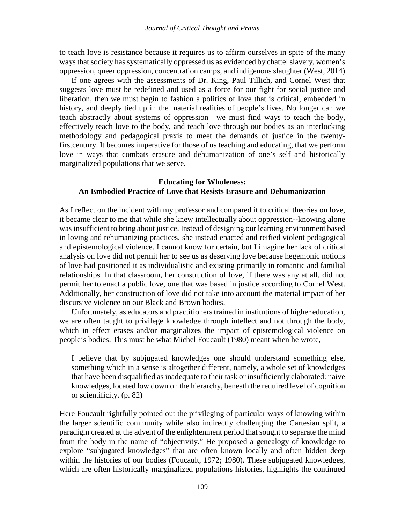to teach love is resistance because it requires us to affirm ourselves in spite of the many ways that society has systematically oppressed us as evidenced by chattel slavery, women's oppression, queer oppression, concentration camps, and indigenous slaughter (West, 2014).

If one agrees with the assessments of Dr. King, Paul Tillich, and Cornel West that suggests love must be redefined and used as a force for our fight for social justice and liberation, then we must begin to fashion a politics of love that is critical, embedded in history, and deeply tied up in the material realities of people's lives. No longer can we teach abstractly about systems of oppression—we must find ways to teach the body, effectively teach love to the body, and teach love through our bodies as an interlocking methodology and pedagogical praxis to meet the demands of justice in the twentyfirstcentury. It becomes imperative for those of us teaching and educating, that we perform love in ways that combats erasure and dehumanization of one's self and historically marginalized populations that we serve.

### **Educating for Wholeness: An Embodied Practice of Love that Resists Erasure and Dehumanization**

As I reflect on the incident with my professor and compared it to critical theories on love, it became clear to me that while she knew intellectually about oppression--knowing alone was insufficient to bring about justice. Instead of designing our learning environment based in loving and rehumanizing practices, she instead enacted and reified violent pedagogical and epistemological violence. I cannot know for certain, but I imagine her lack of critical analysis on love did not permit her to see us as deserving love because hegemonic notions of love had positioned it as individualistic and existing primarily in romantic and familial relationships. In that classroom, her construction of love, if there was any at all, did not permit her to enact a public love, one that was based in justice according to Cornel West. Additionally, her construction of love did not take into account the material impact of her discursive violence on our Black and Brown bodies.

Unfortunately, as educators and practitioners trained in institutions of higher education, we are often taught to privilege knowledge through intellect and not through the body, which in effect erases and/or marginalizes the impact of epistemological violence on people's bodies. This must be what Michel Foucault (1980) meant when he wrote,

I believe that by subjugated knowledges one should understand something else, something which in a sense is altogether different, namely, a whole set of knowledges that have been disqualified as inadequate to their task or insufficiently elaborated: naive knowledges, located low down on the hierarchy, beneath the required level of cognition or scientificity. (p. 82)

Here Foucault rightfully pointed out the privileging of particular ways of knowing within the larger scientific community while also indirectly challenging the Cartesian split, a paradigm created at the advent of the enlightenment period that sought to separate the mind from the body in the name of "objectivity." He proposed a genealogy of knowledge to explore "subjugated knowledges" that are often known locally and often hidden deep within the histories of our bodies (Foucault, 1972; 1980). These subjugated knowledges, which are often historically marginalized populations histories, highlights the continued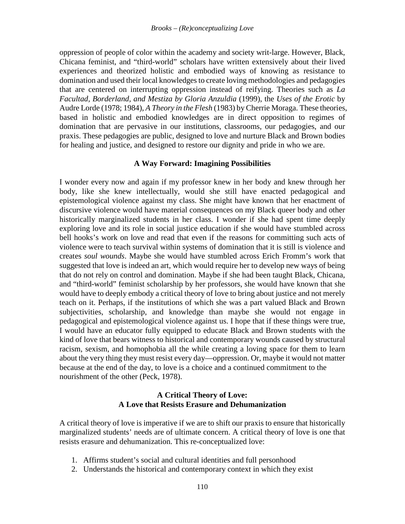oppression of people of color within the academy and society writ-large. However, Black, Chicana feminist, and "third-world" scholars have written extensively about their lived experiences and theorized holistic and embodied ways of knowing as resistance to domination and used their local knowledges to create loving methodologies and pedagogies that are centered on interrupting oppression instead of reifying. Theories such as *La Facultad, Borderland, and Mestiza by Gloria Anzuldia* (1999), the *Uses of the Erotic* by Audre Lorde (1978; 1984), *A Theory in the Flesh* (1983) by Cherrie Moraga. These theories, based in holistic and embodied knowledges are in direct opposition to regimes of domination that are pervasive in our institutions, classrooms, our pedagogies, and our praxis. These pedagogies are public, designed to love and nurture Black and Brown bodies for healing and justice, and designed to restore our dignity and pride in who we are.

### **A Way Forward: Imagining Possibilities**

I wonder every now and again if my professor knew in her body and knew through her body, like she knew intellectually, would she still have enacted pedagogical and epistemological violence against my class. She might have known that her enactment of discursive violence would have material consequences on my Black queer body and other historically marginalized students in her class. I wonder if she had spent time deeply exploring love and its role in social justice education if she would have stumbled across bell hooks's work on love and read that even if the reasons for committing such acts of violence were to teach survival within systems of domination that it is still is violence and creates *soul wounds*. Maybe she would have stumbled across Erich Fromm's work that suggested that love is indeed an art, which would require her to develop new ways of being that do not rely on control and domination. Maybe if she had been taught Black, Chicana, and "third-world" feminist scholarship by her professors, she would have known that she would have to deeply embody a critical theory of love to bring about justice and not merely teach on it. Perhaps, if the institutions of which she was a part valued Black and Brown subjectivities, scholarship, and knowledge than maybe she would not engage in pedagogical and epistemological violence against us. I hope that if these things were true, I would have an educator fully equipped to educate Black and Brown students with the kind of love that bears witness to historical and contemporary wounds caused by structural racism, sexism, and homophobia all the while creating a loving space for them to learn about the very thing they must resist every day—oppression. Or, maybe it would not matter because at the end of the day, to love is a choice and a continued commitment to the nourishment of the other (Peck, 1978).

## **A Critical Theory of Love: A Love that Resists Erasure and Dehumanization**

A critical theory of love is imperative if we are to shift our praxis to ensure that historically marginalized students' needs are of ultimate concern. A critical theory of love is one that resists erasure and dehumanization. This re-conceptualized love:

- 1. Affirms student's social and cultural identities and full personhood
- 2. Understands the historical and contemporary context in which they exist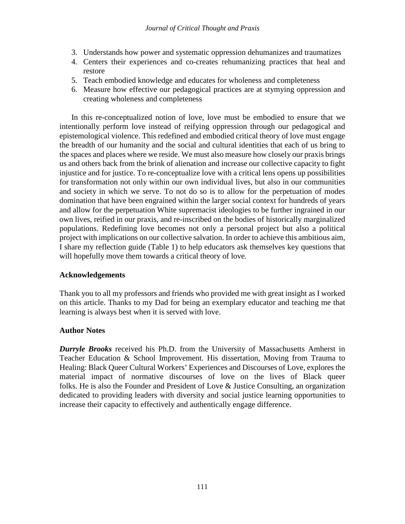- 3. Understands how power and systematic oppression dehumanizes and traumatizes
- 4. Centers their experiences and co-creates rehumanizing practices that heal and restore
- 5. Teach embodied knowledge and educates for wholeness and completeness
- 6. Measure how effective our pedagogical practices are at stymying oppression and creating wholeness and completeness

In this re-conceptualized notion of love, love must be embodied to ensure that we intentionally perform love instead of reifying oppression through our pedagogical and epistemological violence. This redefined and embodied critical theory of love must engage the breadth of our humanity and the social and cultural identities that each of us bring to the spaces and places where we reside. We must also measure how closely our praxis brings us and others back from the brink of alienation and increase our collective capacity to fight injustice and for justice. To re-conceptualize love with a critical lens opens up possibilities for transformation not only within our own individual lives, but also in our communities and society in which we serve. To not do so is to allow for the perpetuation of modes domination that have been engrained within the larger social context for hundreds of years and allow for the perpetuation White supremacist ideologies to be further ingrained in our own lives, reified in our praxis, and re-inscribed on the bodies of historically marginalized populations. Redefining love becomes not only a personal project but also a political project with implications on our collective salvation. In order to achieve this ambitious aim, I share my reflection guide (Table 1) to help educators ask themselves key questions that will hopefully move them towards a critical theory of love.

## **Acknowledgements**

Thank you to all my professors and friends who provided me with great insight as I worked on this article. Thanks to my Dad for being an exemplary educator and teaching me that learning is always best when it is served with love.

## **Author Notes**

*Durryle Brooks* received his Ph.D. from the University of Massachusetts Amherst in Teacher Education & School Improvement. His dissertation, Moving from Trauma to Healing: Black Queer Cultural Workers' Experiences and Discourses of Love, explores the material impact of normative discourses of love on the lives of Black queer folks. He is also the Founder and President of Love & Justice Consulting, an organization dedicated to providing leaders with diversity and social justice learning opportunities to increase their capacity to effectively and authentically engage difference.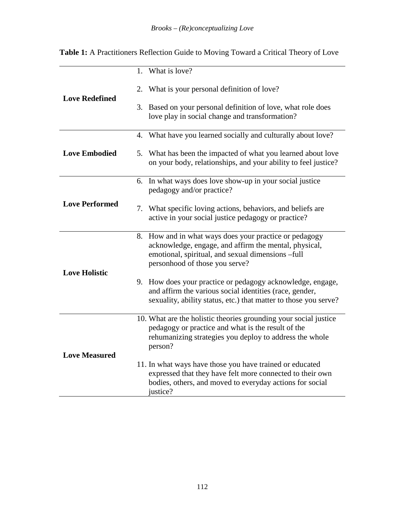|                       | 1. What is love?                                                                                                                                                                                       |
|-----------------------|--------------------------------------------------------------------------------------------------------------------------------------------------------------------------------------------------------|
| <b>Love Redefined</b> | 2. What is your personal definition of love?                                                                                                                                                           |
|                       | 3. Based on your personal definition of love, what role does<br>love play in social change and transformation?                                                                                         |
|                       | 4. What have you learned socially and culturally about love?                                                                                                                                           |
| <b>Love Embodied</b>  | 5. What has been the impacted of what you learned about love<br>on your body, relationships, and your ability to feel justice?                                                                         |
| <b>Love Performed</b> | 6. In what ways does love show-up in your social justice<br>pedagogy and/or practice?                                                                                                                  |
|                       | 7. What specific loving actions, behaviors, and beliefs are<br>active in your social justice pedagogy or practice?                                                                                     |
| <b>Love Holistic</b>  | 8. How and in what ways does your practice or pedagogy<br>acknowledge, engage, and affirm the mental, physical,<br>emotional, spiritual, and sexual dimensions -full<br>personhood of those you serve? |
|                       | 9. How does your practice or pedagogy acknowledge, engage,<br>and affirm the various social identities (race, gender,<br>sexuality, ability status, etc.) that matter to those you serve?              |
| <b>Love Measured</b>  | 10. What are the holistic theories grounding your social justice<br>pedagogy or practice and what is the result of the<br>rehumanizing strategies you deploy to address the whole<br>person?           |
|                       | 11. In what ways have those you have trained or educated<br>expressed that they have felt more connected to their own<br>bodies, others, and moved to everyday actions for social<br>justice?          |

**Table 1:** A Practitioners Reflection Guide to Moving Toward a Critical Theory of Love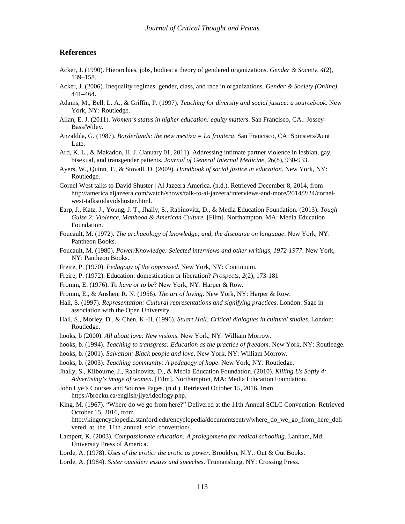#### **References**

- Acker, J. (1990). Hierarchies, jobs, bodies: a theory of gendered organizations. *Gender & Society*, *4*(2), 139–158.
- Acker, J. (2006). Inequality regimes: gender, class, and race in organizations. *Gender & Society (Online)*, 441–464.
- Adams, M., Bell, L. A., & Griffin, P. (1997). *Teaching for diversity and social justice: a sourcebook*. New York, NY: Routledge.
- Allan, E. J. (2011). *Women's status in higher education: equity matters*. San Francisco, CA.: Jossey-Bass/Wiley.
- Anzaldúa, G. (1987). *Borderlands: the new mestiza = La frontera*. San Francisco, CA: Spinsters/Aunt Lute.
- Ard, K. L., & Makadon, H. J. (January 01, 2011). Addressing intimate partner violence in lesbian, gay, bisexual, and transgender patients. *Journal of General Internal Medicine*, *26*(8), 930-933.
- Ayers, W., Quinn, T., & Stovall, D. (2009). *Handbook of social justice in education*. New York, NY: Routledge.
- Cornel West talks to David Shuster | Al Jazeera America. (n.d.). Retrieved December 8, 2014, from http://america.aljazeera.com/watch/shows/talk-to-al-jazeera/interviews-and-more/2014/2/24/cornelwest-talkstodavidshuster.html.
- Earp, J., Katz, J., Young, J. T., Jhally, S., Rabinovitz, D., & Media Education Foundation. (2013). *Tough Guise 2: Violence, Manhood & American Culture*. [Film]. Northampton, MA: Media Education Foundation.
- Foucault, M. (1972). *The archaeology of knowledge; and, the discourse on language*. New York, NY: Pantheon Books.
- Foucault, M. (1980). *Power/Knowledge: Selected interviews and other writings, 1972-1977*. New York, NY: Pantheon Books.
- Freire, P. (1970). *Pedagogy of the oppressed*. New York, NY: Continuum.
- Freire, P. (1972). Education: domestication or liberation? *Prospects*, *2*(2), 173-181
- Fromm, E. (1976). *To have or to be*? New York, NY: Harper & Row.
- Fromm, E., & Anshen, R. N. (1956). *The art of loving*. New York, NY: Harper & Row.
- Hall, S. (1997). *Representation: Cultural representations and signifying practices*. London: Sage in association with the Open University.
- Hall, S., Morley, D., & Chen, K.-H. (1996). *Stuart Hall: Critical dialogues in cultural studies*. London: Routledge.
- hooks, b (2000). *All about love: New visions*. New York, NY: William Morrow.
- hooks, b. (1994). *Teaching to transgress: Education as the practice of freedom*. New York, NY: Routledge.
- hooks, b. (2001). *Salvation: Black people and love*. New York, NY: William Morrow.
- hooks, b. (2003). *Teaching community: A pedagogy of hope*. New York, NY: Routledge.
- Jhally, S., Kilbourne, J., Rabinovitz, D., & Media Education Foundation. (2010). *Killing Us Softly 4: Advertising's image of women*. [Film]. Northampton, MA: Media Education Foundation.
- John Lye's Courses and Sources Pages. (n.d.). Retrieved October 15, 2016, from https://brocku.ca/english/jlye/ideology.php.
- King, M. (1967). "Where do we go from here?" Delivered at the 11th Annual SCLC Convention. Retrieved October 15, 2016, from

http://kingencyclopedia.stanford.edu/encyclopedia/documentsentry/where\_do\_we\_go\_from\_here\_deli vered\_at\_the\_11th\_annual\_sclc\_convention/.

- Lampert, K. (2003). *Compassionate education: A prolegomena for radical schooling*. Lanham, Md: University Press of America.
- Lorde, A. (1978). *Uses of the erotic: the erotic as power*. Brooklyn, N.Y.: Out & Out Books.
- Lorde, A. (1984). *Sister outsider: essays and speeches*. Trumansburg, NY: Crossing Press.